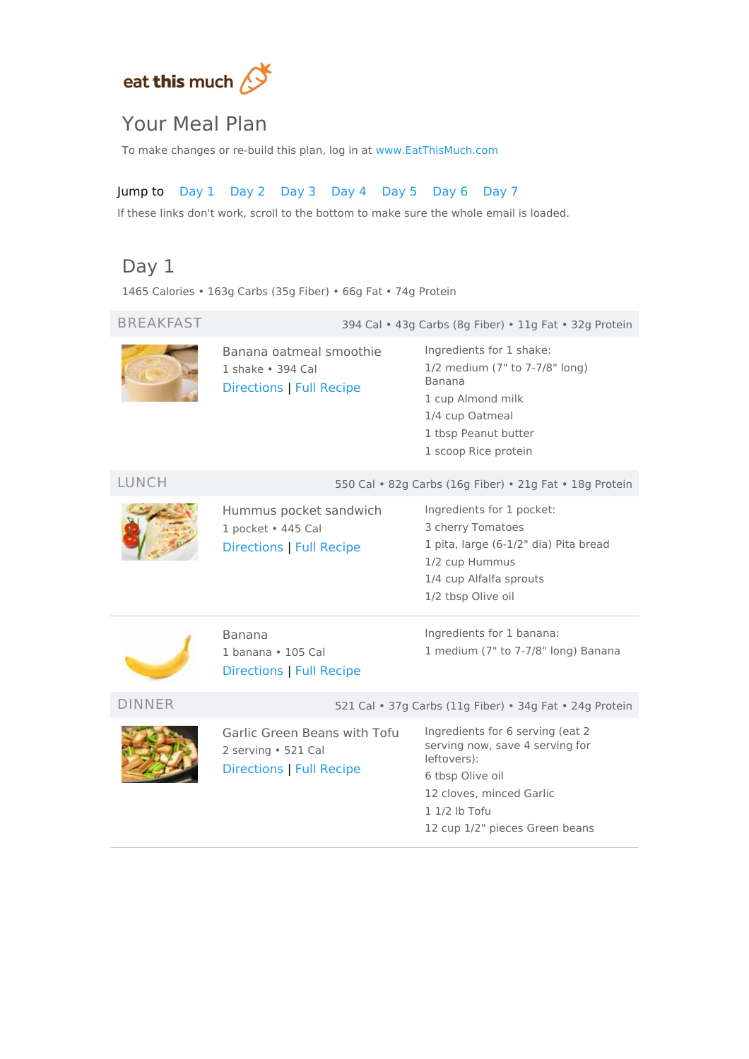

# Your Meal Plan

To make changes or re-build this plan, log in at [www.EatThisMuch.com](https://www.eatthismuch.com/)

## Jump to [Day](#page-0-0) 1 [Day](#page-1-0) 2 [Day](#page-1-1) 3 [Day](#page-2-0) 4 [Day](#page-3-0) 5 [Day](#page-4-0) 6 [Day](#page-4-1) 7

If these links don't work, scroll to the bottom to make sure the whole email is loaded.

BREAKFAST 394 Cal • 43g Carbs (8g Fiber) • 11g Fat • 32g Protein

# <span id="page-0-0"></span>Day 1

1465 Calories • 163g Carbs (35g Fiber) • 66g Fat • 74g Protein

#### Banana oatmeal smoothie 1 shake • 394 Cal [Directions](#page-5-0) | Full [Recipe](https://www.eatthismuch.com/recipe/view/banana-oatmeal-smoothie,254476/) Ingredients for 1 shake: 1/2 medium (7" to 7-7/8" long) Banana 1 cup Almond milk 1/4 cup Oatmeal 1 tbsp Peanut butter 1 scoop Rice protein LUNCH 550 Cal • 82g Carbs (16g Fiber) • 21g Fat • 18g Protein Hummus pocket sandwich 1 pocket • 445 Cal [Directions](#page-5-1) | Full [Recipe](https://www.eatthismuch.com/recipe/view/hummus-pocket-sandwich,33542/) Ingredients for 1 pocket: 3 cherry Tomatoes 1 pita, large (6-1/2" dia) Pita bread 1/2 cup Hummus 1/4 cup Alfalfa sprouts 1/2 tbsp Olive oil Banana 1 banana • 105 Cal Directions | Full [Recipe](https://www.eatthismuch.com/recipe/view/banana,474253/) Ingredients for 1 banana: 1 medium (7" to 7-7/8" long) Banana DINNER 521 Cal • 37g Carbs (11g Fiber) • 34g Fat • 24g Protein Garlic Green Beans with Tofu 2 serving • 521 Cal [Directions](#page-5-2) | Full [Recipe](https://www.eatthismuch.com/recipe/view/garlic-green-beans-with-tofu,34875/) Ingredients for 6 serving (eat 2 serving now, save 4 serving for leftovers): 6 tbsp Olive oil 12 cloves, minced Garlic

1 1/2 lb Tofu

12 cup 1/2" pieces Green beans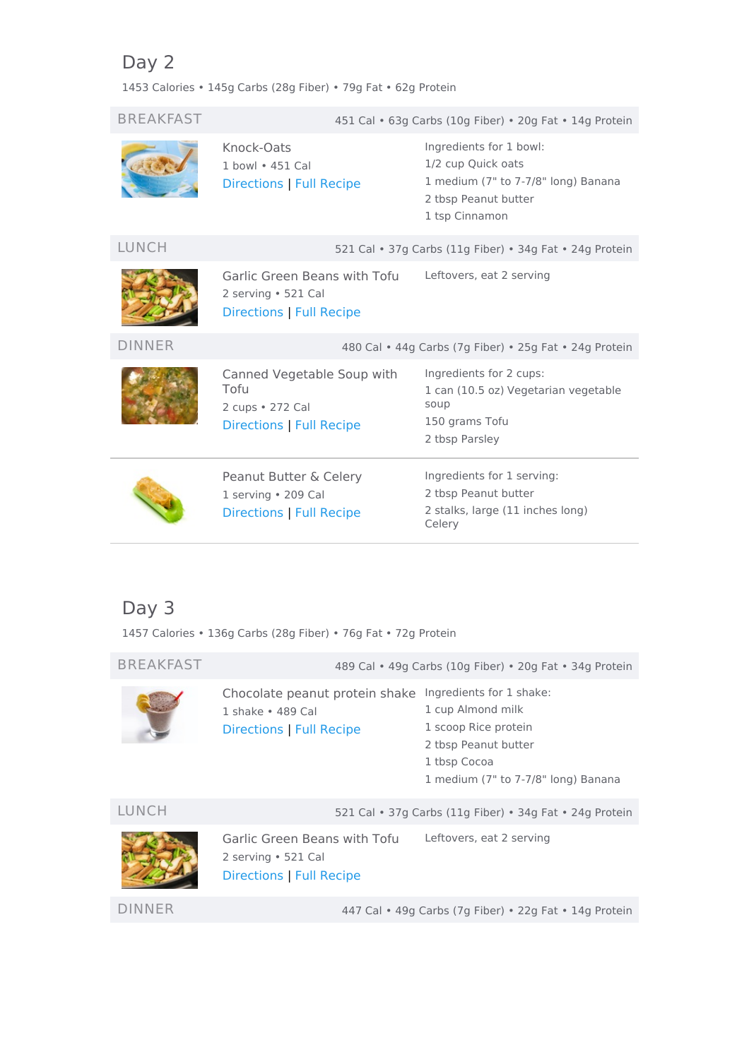# <span id="page-1-0"></span>Day 2

1453 Calories • 145g Carbs (28g Fiber) • 79g Fat • 62g Protein

| <b>BREAKFAST</b> | 451 Cal • 63g Carbs (10g Fiber) • 20g Fat • 14g Protein                            |                                                                                                                                |  |
|------------------|------------------------------------------------------------------------------------|--------------------------------------------------------------------------------------------------------------------------------|--|
|                  | Knock-Oats<br>1 bowl • 451 Cal<br>Directions   Full Recipe                         | Ingredients for 1 bowl:<br>1/2 cup Quick oats<br>1 medium (7" to 7-7/8" long) Banana<br>2 tbsp Peanut butter<br>1 tsp Cinnamon |  |
| LUNCH            |                                                                                    | 521 Cal • 37g Carbs (11g Fiber) • 34g Fat • 24g Protein                                                                        |  |
|                  | Garlic Green Beans with Tofu<br>2 serving · 521 Cal<br>Directions   Full Recipe    | Leftovers, eat 2 serving                                                                                                       |  |
| <b>DINNER</b>    |                                                                                    | 480 Cal • 44g Carbs (7g Fiber) • 25g Fat • 24g Protein                                                                         |  |
|                  | Canned Vegetable Soup with<br>Tofu<br>2 cups • 272 Cal<br>Directions   Full Recipe | Ingredients for 2 cups:<br>1 can (10.5 oz) Vegetarian vegetable<br>soup<br>150 grams Tofu<br>2 tbsp Parsley                    |  |
|                  | Peanut Butter & Celery<br>1 serving • 209 Cal<br>Directions   Full Recipe          | Ingredients for 1 serving:<br>2 tbsp Peanut butter<br>2 stalks, large (11 inches long)<br>Celery                               |  |

# <span id="page-1-1"></span>Day 3

1457 Calories • 136g Carbs (28g Fiber) • 76g Fat • 72g Protein

| <b>BREAKFAST</b> | 489 Cal • 49g Carbs (10g Fiber) • 20g Fat • 34g Protein                                |                                                                                                                                                      |
|------------------|----------------------------------------------------------------------------------------|------------------------------------------------------------------------------------------------------------------------------------------------------|
|                  | Chocolate peanut protein shake<br>1 shake • 489 Cal<br><b>Directions   Full Recipe</b> | Ingredients for 1 shake:<br>1 cup Almond milk<br>1 scoop Rice protein<br>2 tbsp Peanut butter<br>1 tbsp Cocoa<br>1 medium (7" to 7-7/8" long) Banana |
| LUNCH            |                                                                                        | 521 Cal • 37g Carbs (11g Fiber) • 34g Fat • 24g Protein                                                                                              |
|                  | Garlic Green Beans with Tofu<br>2 serving • 521 Cal<br>Directions   Full Recipe        | Leftovers, eat 2 serving                                                                                                                             |
| DINNER           |                                                                                        | 447 Cal • 49g Carbs (7g Fiber) • 22g Fat • 14g Protein                                                                                               |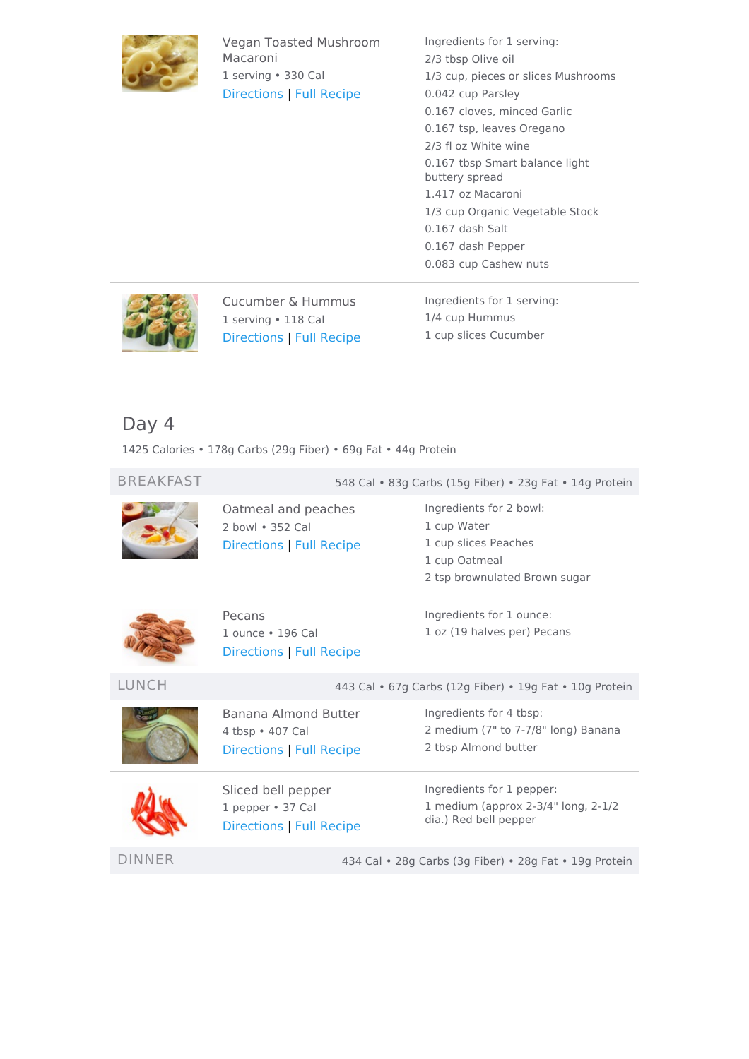

Vegan Toasted Mushroom Macaroni 1 serving • 330 Cal [Directions](#page-6-1) | Full [Recipe](https://www.eatthismuch.com/recipe/view/vegan-toasted-mushroom-macaroni,382190/)

Ingredients for 1 serving: 2/3 tbsp Olive oil 1/3 cup, pieces or slices Mushrooms 0.042 cup Parsley 0.167 cloves, minced Garlic 0.167 tsp, leaves Oregano 2/3 fl oz White wine 0.167 tbsp Smart balance light buttery spread 1.417 oz Macaroni 1/3 cup Organic Vegetable Stock 0.167 dash Salt 0.167 dash Pepper 0.083 cup Cashew nuts



Cucumber & Hummus 1 serving • 118 Cal [Directions](#page-6-2) | Full [Recipe](https://www.eatthismuch.com/recipe/view/cucumber-hummus,331996/) Ingredients for 1 serving: 1/4 cup Hummus 1 cup slices Cucumber

# <span id="page-2-0"></span>Day 4

1425 Calories • 178g Carbs (29g Fiber) • 69g Fat • 44g Protein

| <b>BREAKFAST</b> | 548 Cal · 83g Carbs (15g Fiber) · 23g Fat · 14g Protein              |                                                                                                                  |
|------------------|----------------------------------------------------------------------|------------------------------------------------------------------------------------------------------------------|
|                  | Oatmeal and peaches<br>2 bowl • 352 Cal<br>Directions   Full Recipe  | Ingredients for 2 bowl:<br>1 cup Water<br>1 cup slices Peaches<br>1 cup Oatmeal<br>2 tsp brownulated Brown sugar |
|                  | Pecans<br>1 ounce • 196 Cal<br>Directions   Full Recipe              | Ingredients for 1 ounce:<br>1 oz (19 halves per) Pecans                                                          |
| <b>LUNCH</b>     | 443 Cal • 67g Carbs (12g Fiber) • 19g Fat • 10g Protein              |                                                                                                                  |
|                  | Banana Almond Butter<br>4 tbsp • 407 Cal<br>Directions   Full Recipe | Ingredients for 4 tbsp:<br>2 medium (7" to 7-7/8" long) Banana<br>2 tbsp Almond butter                           |
|                  | Sliced bell pepper<br>1 pepper · 37 Cal<br>Directions   Full Recipe  | Ingredients for 1 pepper:<br>1 medium (approx 2-3/4" long, 2-1/2<br>dia.) Red bell pepper                        |
| DINNER           | 434 Cal • 28g Carbs (3g Fiber) • 28g Fat • 19g Protein               |                                                                                                                  |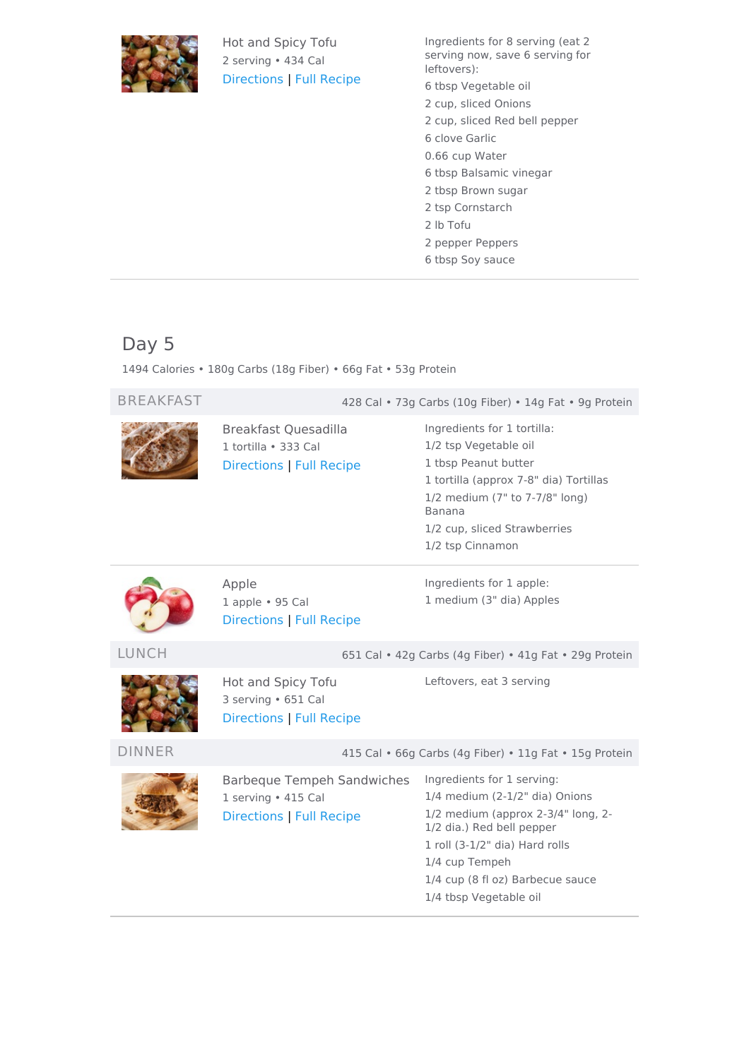

Hot and Spicy Tofu 2 serving • 434 Cal [Directions](#page-7-0) | Full [Recipe](https://www.eatthismuch.com/recipe/view/hot-and-spicy-tofu,34989/) Ingredients for 8 serving (eat 2 serving now, save 6 serving for leftovers): 6 tbsp Vegetable oil 2 cup, sliced Onions

- 2 cup, sliced Red bell pepper
- 6 clove Garlic
- 0.66 cup Water
- 6 tbsp Balsamic vinegar
- 2 tbsp Brown sugar
- 2 tsp Cornstarch
- 2 lb Tofu
- 2 pepper Peppers
- 6 tbsp Soy sauce

# <span id="page-3-0"></span>Day 5

1494 Calories • 180g Carbs (18g Fiber) • 66g Fat • 53g Protein

| <b>BREAKFAST</b> | 428 Cal • 73g Carbs (10g Fiber) • 14g Fat • 9g Protein                                      |                                                                                                                                                                                                                                                   |
|------------------|---------------------------------------------------------------------------------------------|---------------------------------------------------------------------------------------------------------------------------------------------------------------------------------------------------------------------------------------------------|
|                  | Breakfast Quesadilla<br>1 tortilla · 333 Cal<br>Directions   Full Recipe                    | Ingredients for 1 tortilla:<br>1/2 tsp Vegetable oil<br>1 tbsp Peanut butter<br>1 tortilla (approx 7-8" dia) Tortillas<br>1/2 medium (7" to 7-7/8" long)<br>Banana<br>1/2 cup, sliced Strawberries<br>1/2 tsp Cinnamon                            |
|                  | Apple<br>1 apple • 95 Cal<br><b>Directions   Full Recipe</b>                                | Ingredients for 1 apple:<br>1 medium (3" dia) Apples                                                                                                                                                                                              |
| <b>LUNCH</b>     | 651 Cal . 42g Carbs (4g Fiber) . 41g Fat . 29g Protein                                      |                                                                                                                                                                                                                                                   |
|                  | Hot and Spicy Tofu<br>3 serving • 651 Cal<br>Directions   Full Recipe                       | Leftovers, eat 3 serving                                                                                                                                                                                                                          |
| <b>DINNER</b>    | 415 Cal • 66g Carbs (4g Fiber) • 11g Fat • 15g Protein                                      |                                                                                                                                                                                                                                                   |
|                  | <b>Barbeque Tempeh Sandwiches</b><br>1 serving · 415 Cal<br><b>Directions   Full Recipe</b> | Ingredients for 1 serving:<br>1/4 medium (2-1/2" dia) Onions<br>1/2 medium (approx 2-3/4" long, 2-<br>1/2 dia.) Red bell pepper<br>1 roll (3-1/2" dia) Hard rolls<br>1/4 cup Tempeh<br>1/4 cup (8 fl oz) Barbecue sauce<br>1/4 tbsp Vegetable oil |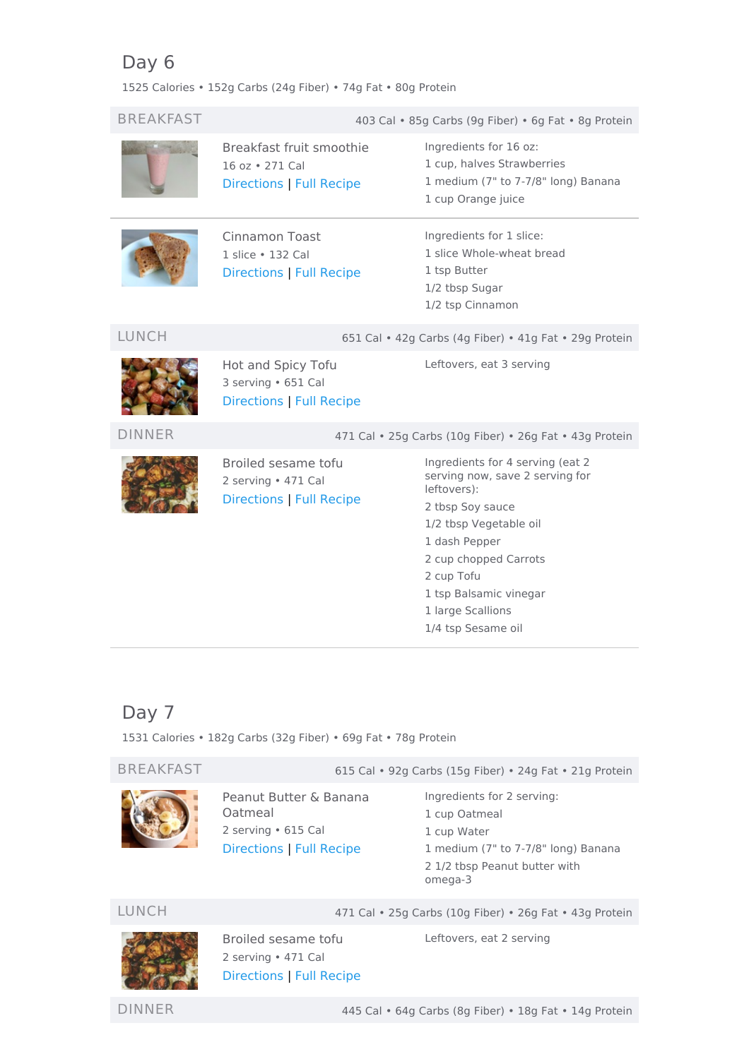# <span id="page-4-0"></span>Day 6

1525 Calories • 152g Carbs (24g Fiber) • 74g Fat • 80g Protein

| <b>BREAKFAST</b> |                                                                               | 403 Cal • 85g Carbs (9g Fiber) • 6g Fat • 8g Protein                                                                                                                                                                                                          |
|------------------|-------------------------------------------------------------------------------|---------------------------------------------------------------------------------------------------------------------------------------------------------------------------------------------------------------------------------------------------------------|
|                  | Breakfast fruit smoothie<br>16 oz • 271 Cal<br>Directions   Full Recipe       | Ingredients for 16 oz:<br>1 cup, halves Strawberries<br>1 medium (7" to 7-7/8" long) Banana<br>1 cup Orange juice                                                                                                                                             |
|                  | <b>Cinnamon Toast</b><br>1 slice • 132 Cal<br>Directions   Full Recipe        | Ingredients for 1 slice:<br>1 slice Whole-wheat bread<br>1 tsp Butter<br>1/2 tbsp Sugar<br>1/2 tsp Cinnamon                                                                                                                                                   |
| <b>LUNCH</b>     | 651 Cal • 42g Carbs (4g Fiber) • 41g Fat • 29g Protein                        |                                                                                                                                                                                                                                                               |
|                  | Hot and Spicy Tofu<br>3 serving · 651 Cal<br>Directions   Full Recipe         | Leftovers, eat 3 serving                                                                                                                                                                                                                                      |
| <b>DINNER</b>    | 471 Cal . 25g Carbs (10g Fiber) . 26g Fat . 43g Protein                       |                                                                                                                                                                                                                                                               |
|                  | Broiled sesame tofu<br>2 serving • 471 Cal<br><b>Directions   Full Recipe</b> | Ingredients for 4 serving (eat 2<br>serving now, save 2 serving for<br>leftovers):<br>2 tbsp Soy sauce<br>1/2 tbsp Vegetable oil<br>1 dash Pepper<br>2 cup chopped Carrots<br>2 cup Tofu<br>1 tsp Balsamic vinegar<br>1 large Scallions<br>1/4 tsp Sesame oil |

# <span id="page-4-1"></span>Day 7

1531 Calories • 182g Carbs (32g Fiber) • 69g Fat • 78g Protein

BREAKFAST 615 Cal • 92g Carbs (15g Fiber) • 24g Fat • 21g Protein



## Peanut Butter & Banana Oatmeal 2 serving • 615 Cal [Directions](#page-8-1) | Full [Recipe](https://www.eatthismuch.com/recipe/view/peanut-butter-banana-oatmeal,413007/)

Ingredients for 2 serving: cup Oatmeal cup Water medium (7" to 7-7/8" long) Banana 1/2 tbsp Peanut butter with omega-3



Broiled sesame tofu 2 serving • 471 Cal [Directions](#page-8-0) | Full [Recipe](https://www.eatthismuch.com/recipe/view/broiled-sesame-tofu,34099/)

LUNCH 471 Cal • 25g Carbs (10g Fiber) • 26g Fat • 43g Protein

Leftovers, eat 2 serving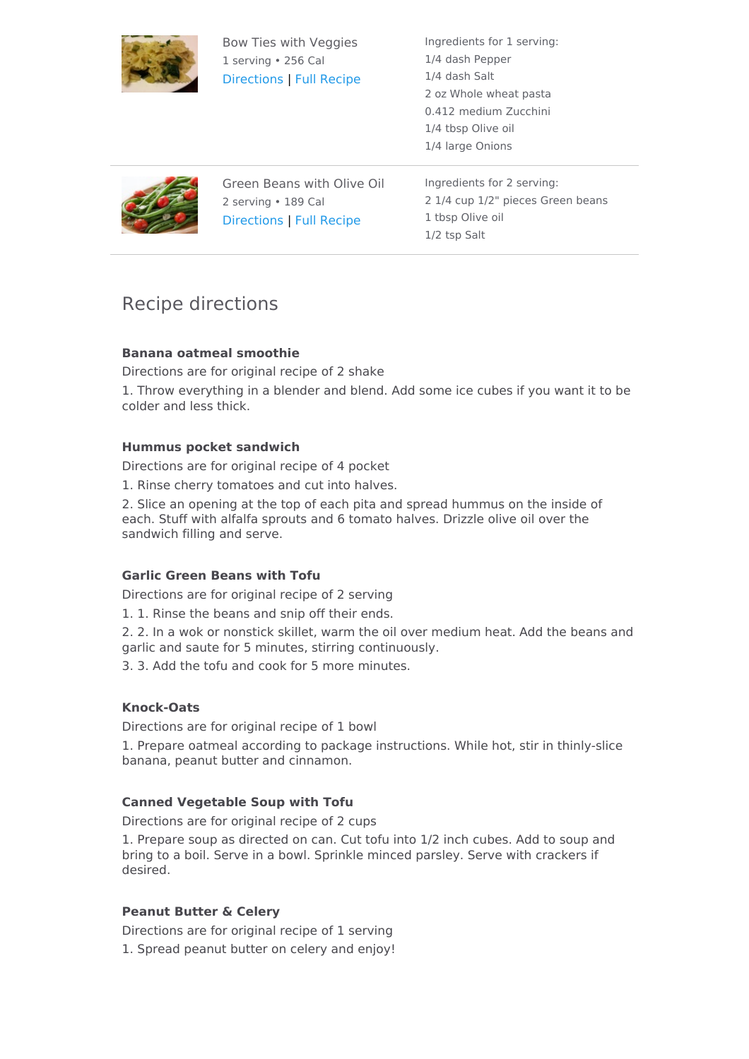

Bow Ties with Veggies 1 serving • 256 Cal [Directions](#page-8-2) | Full [Recipe](https://www.eatthismuch.com/recipe/view/bow-ties-with-veggies,45310/) Ingredients for 1 serving: 1/4 dash Pepper 1/4 dash Salt 2 oz Whole wheat pasta 0.412 medium Zucchini 1/4 tbsp Olive oil 1/4 large Onions



Green Beans with Olive Oil 2 serving • 189 Cal [Directions](#page-8-3) | Full [Recipe](https://www.eatthismuch.com/recipe/view/green-beans-with-olive-oil,45085/)

Ingredients for 2 serving: 2 1/4 cup 1/2" pieces Green beans 1 tbsp Olive oil 1/2 tsp Salt

# Recipe directions

## <span id="page-5-0"></span>**Banana oatmeal smoothie**

Directions are for original recipe of 2 shake

1. Throw everything in a blender and blend. Add some ice cubes if you want it to be colder and less thick.

## <span id="page-5-1"></span>**Hummus pocket sandwich**

Directions are for original recipe of 4 pocket

1. Rinse cherry tomatoes and cut into halves.

2. Slice an opening at the top of each pita and spread hummus on the inside of each. Stuff with alfalfa sprouts and 6 tomato halves. Drizzle olive oil over the sandwich filling and serve.

## <span id="page-5-2"></span>**Garlic Green Beans with Tofu**

Directions are for original recipe of 2 serving

1. 1. Rinse the beans and snip off their ends.

2. 2. In a wok or nonstick skillet, warm the oil over medium heat. Add the beans and garlic and saute for 5 minutes, stirring continuously.

3. 3. Add the tofu and cook for 5 more minutes.

## <span id="page-5-3"></span>**Knock-Oats**

Directions are for original recipe of 1 bowl

1. Prepare oatmeal according to package instructions. While hot, stir in thinly-slice banana, peanut butter and cinnamon.

## <span id="page-5-4"></span>**Canned Vegetable Soup with Tofu**

Directions are for original recipe of 2 cups

1. Prepare soup as directed on can. Cut tofu into 1/2 inch cubes. Add to soup and bring to a boil. Serve in a bowl. Sprinkle minced parsley. Serve with crackers if desired.

## <span id="page-5-5"></span>**Peanut Butter & Celery**

Directions are for original recipe of 1 serving 1. Spread peanut butter on celery and enjoy!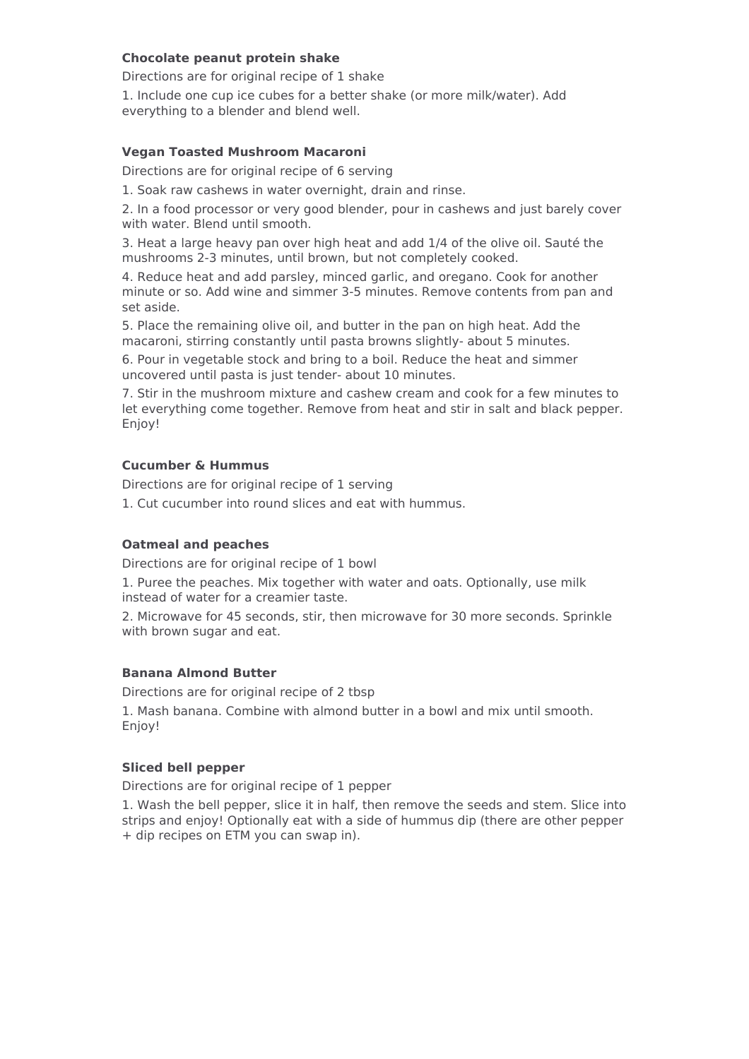### <span id="page-6-0"></span>**Chocolate peanut protein shake**

Directions are for original recipe of 1 shake

1. Include one cup ice cubes for a better shake (or more milk/water). Add everything to a blender and blend well.

### <span id="page-6-1"></span>**Vegan Toasted Mushroom Macaroni**

Directions are for original recipe of 6 serving

1. Soak raw cashews in water overnight, drain and rinse.

2. In a food processor or very good blender, pour in cashews and just barely cover with water. Blend until smooth.

3. Heat a large heavy pan over high heat and add 1/4 of the olive oil. Sauté the mushrooms 2-3 minutes, until brown, but not completely cooked.

4. Reduce heat and add parsley, minced garlic, and oregano. Cook for another minute or so. Add wine and simmer 3-5 minutes. Remove contents from pan and set aside.

5. Place the remaining olive oil, and butter in the pan on high heat. Add the macaroni, stirring constantly until pasta browns slightly- about 5 minutes.

6. Pour in vegetable stock and bring to a boil. Reduce the heat and simmer uncovered until pasta is just tender- about 10 minutes.

7. Stir in the mushroom mixture and cashew cream and cook for a few minutes to let everything come together. Remove from heat and stir in salt and black pepper. Enjoy!

### <span id="page-6-2"></span>**Cucumber & Hummus**

Directions are for original recipe of 1 serving

1. Cut cucumber into round slices and eat with hummus.

#### <span id="page-6-3"></span>**Oatmeal and peaches**

Directions are for original recipe of 1 bowl

1. Puree the peaches. Mix together with water and oats. Optionally, use milk instead of water for a creamier taste.

2. Microwave for 45 seconds, stir, then microwave for 30 more seconds. Sprinkle with brown sugar and eat.

#### <span id="page-6-4"></span>**Banana Almond Butter**

Directions are for original recipe of 2 tbsp 1. Mash banana. Combine with almond butter in a bowl and mix until smooth. Enjoy!

#### <span id="page-6-5"></span>**Sliced bell pepper**

Directions are for original recipe of 1 pepper

1. Wash the bell pepper, slice it in half, then remove the seeds and stem. Slice into strips and enjoy! Optionally eat with a side of hummus dip (there are other pepper + dip recipes on ETM you can swap in).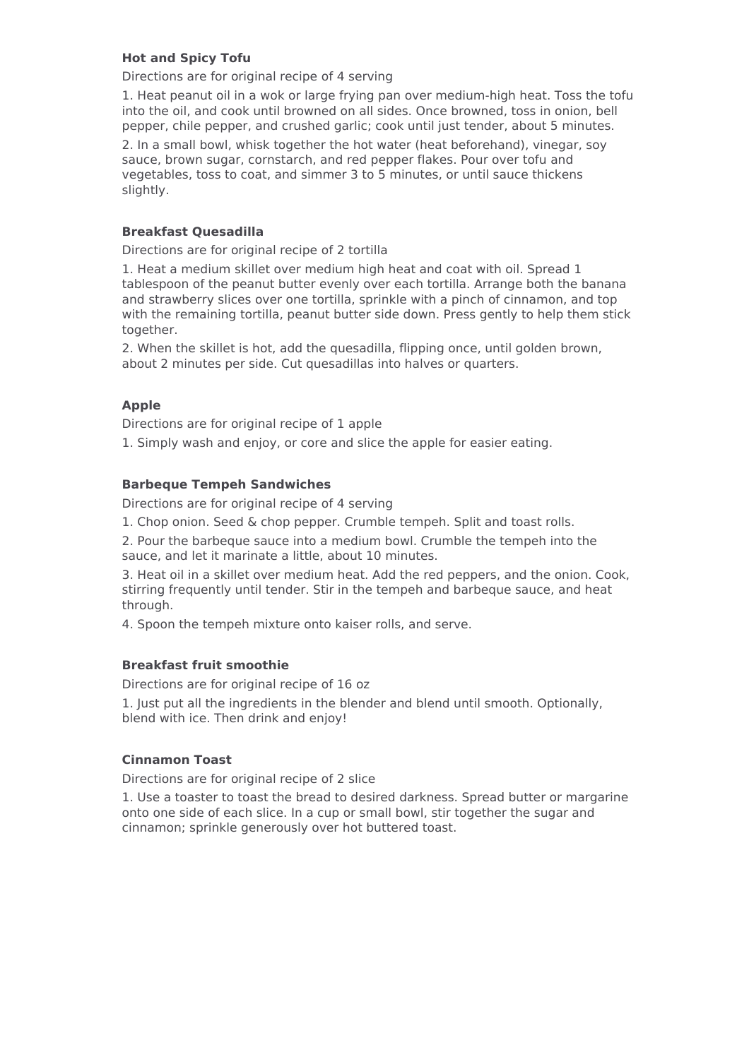### <span id="page-7-0"></span>**Hot and Spicy Tofu**

Directions are for original recipe of 4 serving

1. Heat peanut oil in a wok or large frying pan over medium-high heat. Toss the tofu into the oil, and cook until browned on all sides. Once browned, toss in onion, bell pepper, chile pepper, and crushed garlic; cook until just tender, about 5 minutes.

2. In a small bowl, whisk together the hot water (heat beforehand), vinegar, soy sauce, brown sugar, cornstarch, and red pepper flakes. Pour over tofu and vegetables, toss to coat, and simmer 3 to 5 minutes, or until sauce thickens slightly.

### <span id="page-7-1"></span>**Breakfast Quesadilla**

Directions are for original recipe of 2 tortilla

1. Heat a medium skillet over medium high heat and coat with oil. Spread 1 tablespoon of the peanut butter evenly over each tortilla. Arrange both the banana and strawberry slices over one tortilla, sprinkle with a pinch of cinnamon, and top with the remaining tortilla, peanut butter side down. Press gently to help them stick together.

2. When the skillet is hot, add the quesadilla, flipping once, until golden brown, about 2 minutes per side. Cut quesadillas into halves or quarters.

### <span id="page-7-2"></span>**Apple**

Directions are for original recipe of 1 apple

1. Simply wash and enjoy, or core and slice the apple for easier eating.

#### <span id="page-7-3"></span>**Barbeque Tempeh Sandwiches**

Directions are for original recipe of 4 serving

1. Chop onion. Seed & chop pepper. Crumble tempeh. Split and toast rolls.

2. Pour the barbeque sauce into a medium bowl. Crumble the tempeh into the sauce, and let it marinate a little, about 10 minutes.

3. Heat oil in a skillet over medium heat. Add the red peppers, and the onion. Cook, stirring frequently until tender. Stir in the tempeh and barbeque sauce, and heat through.

4. Spoon the tempeh mixture onto kaiser rolls, and serve.

#### <span id="page-7-4"></span>**Breakfast fruit smoothie**

Directions are for original recipe of 16 oz

1. Just put all the ingredients in the blender and blend until smooth. Optionally, blend with ice. Then drink and enjoy!

#### <span id="page-7-5"></span>**Cinnamon Toast**

Directions are for original recipe of 2 slice

1. Use a toaster to toast the bread to desired darkness. Spread butter or margarine onto one side of each slice. In a cup or small bowl, stir together the sugar and cinnamon; sprinkle generously over hot buttered toast.